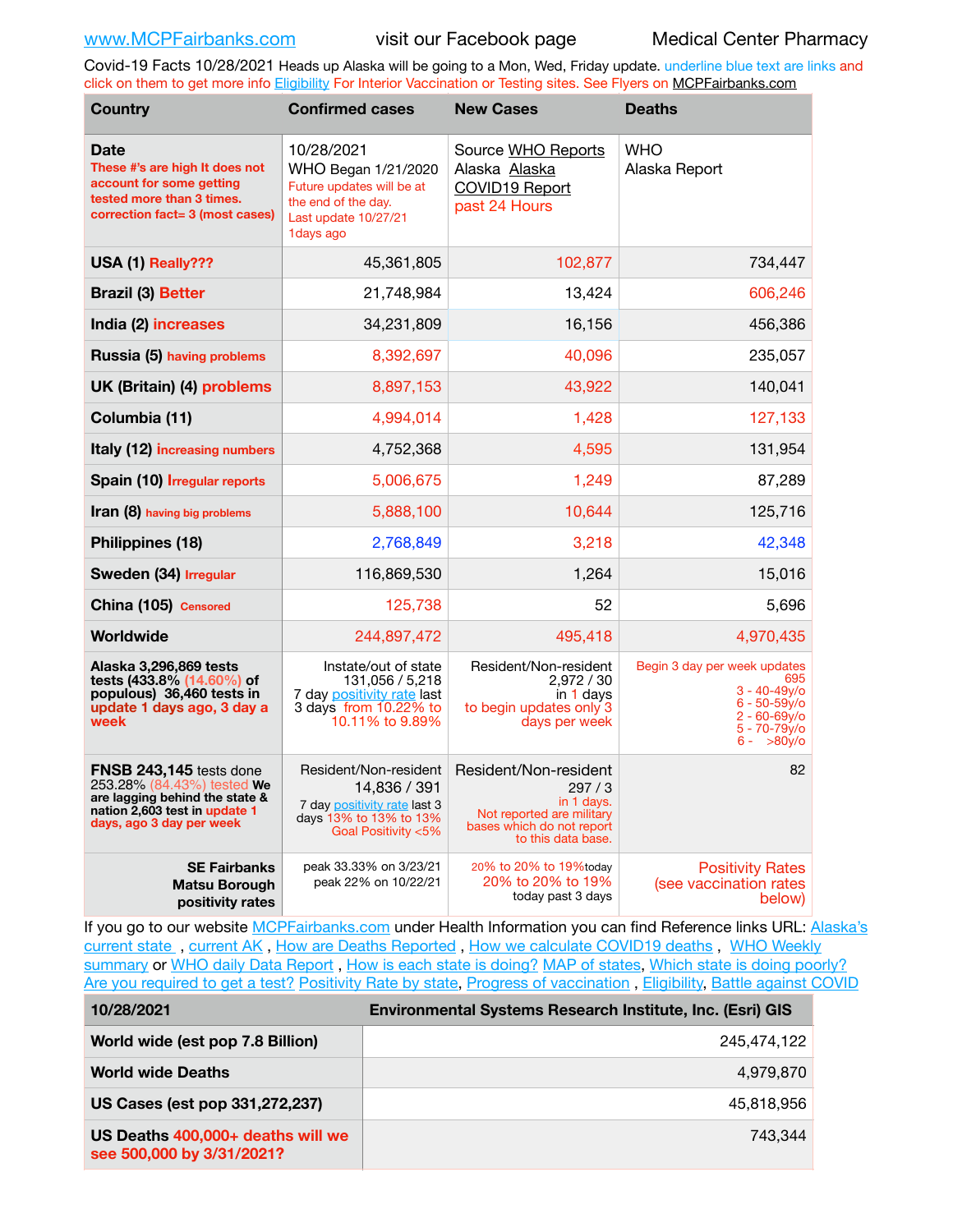Covid-19 Facts 10/28/2021 Heads up Alaska will be going to a Mon, Wed, Friday update. underline blue text are links and click on them to get more info [Eligibility](http://dhss.alaska.gov/dph/Epi/id/Pages/COVID-19/VaccineAvailability.aspx) For Interior Vaccination or Testing sites. See Flyers on [MCPFairbanks.com](http://www.MCPFairbanks.com)

| <b>Country</b>                                                                                                                                              | <b>Confirmed cases</b>                                                                                                      | <b>New Cases</b>                                                                                                             | <b>Deaths</b>                                                                                                                     |
|-------------------------------------------------------------------------------------------------------------------------------------------------------------|-----------------------------------------------------------------------------------------------------------------------------|------------------------------------------------------------------------------------------------------------------------------|-----------------------------------------------------------------------------------------------------------------------------------|
| <b>Date</b><br>These #'s are high It does not<br>account for some getting<br>tested more than 3 times.<br>correction fact= 3 (most cases)                   | 10/28/2021<br>WHO Began 1/21/2020<br>Future updates will be at<br>the end of the day.<br>Last update 10/27/21<br>1 days ago | Source WHO Reports<br>Alaska Alaska<br><b>COVID19 Report</b><br>past 24 Hours                                                | <b>WHO</b><br>Alaska Report                                                                                                       |
| USA (1) Really???                                                                                                                                           | 45,361,805                                                                                                                  | 102,877                                                                                                                      | 734,447                                                                                                                           |
| <b>Brazil (3) Better</b>                                                                                                                                    | 21,748,984                                                                                                                  | 13,424                                                                                                                       | 606,246                                                                                                                           |
| India (2) increases                                                                                                                                         | 34,231,809                                                                                                                  | 16,156                                                                                                                       | 456,386                                                                                                                           |
| Russia (5) having problems                                                                                                                                  | 8,392,697                                                                                                                   | 40,096                                                                                                                       | 235,057                                                                                                                           |
| UK (Britain) (4) problems                                                                                                                                   | 8,897,153                                                                                                                   | 43,922                                                                                                                       | 140,041                                                                                                                           |
| Columbia (11)                                                                                                                                               | 4,994,014                                                                                                                   | 1,428                                                                                                                        | 127,133                                                                                                                           |
| Italy (12) increasing numbers                                                                                                                               | 4,752,368                                                                                                                   | 4,595                                                                                                                        | 131,954                                                                                                                           |
| Spain (10) <i>Irregular reports</i>                                                                                                                         | 5,006,675                                                                                                                   | 1,249                                                                                                                        | 87,289                                                                                                                            |
| Iran (8) having big problems                                                                                                                                | 5,888,100                                                                                                                   | 10,644                                                                                                                       | 125,716                                                                                                                           |
| Philippines (18)                                                                                                                                            | 2,768,849                                                                                                                   | 3,218                                                                                                                        | 42,348                                                                                                                            |
| Sweden (34) Irregular                                                                                                                                       | 116,869,530                                                                                                                 | 1,264                                                                                                                        | 15,016                                                                                                                            |
| China (105) Censored                                                                                                                                        | 125,738                                                                                                                     | 52                                                                                                                           | 5,696                                                                                                                             |
| Worldwide                                                                                                                                                   | 244,897,472                                                                                                                 | 495,418                                                                                                                      | 4,970,435                                                                                                                         |
| Alaska 3,296,869 tests<br>tests (433.8% (14.60%) of<br>populous) 36,460 tests in<br>update 1 days ago, 3 day a<br>week                                      | Instate/out of state<br>131,056 / 5,218<br>7 day positivity rate last<br>3 days from 10.22% to<br>10.11% to 9.89%           | Resident/Non-resident<br>2,972 / 30<br>in 1 days<br>to begin updates only 3<br>days per week                                 | Begin 3 day per week updates<br>695<br>$3 - 40 - 49y$ o<br>$6 - 50 - 59$ y/o<br>$2 - 60 - 69$ y/o<br>5 - 70-79y/o<br>$6 - 80v$ /o |
| <b>FNSB 243,145</b> tests done<br>253.28% (84.43%) tested We<br>are lagging behind the state &<br>nation 2,603 test in update 1<br>days, ago 3 day per week | Resident/Non-resident<br>14,836 / 391<br>7 day positivity rate last 3<br>days 13% to 13% to 13%<br>Goal Positivity <5%      | Resident/Non-resident<br>297/3<br>in 1 days.<br>Not reported are military<br>bases which do not report<br>to this data base. | 82                                                                                                                                |
| <b>SE Fairbanks</b><br><b>Matsu Borough</b><br>positivity rates                                                                                             | peak 33.33% on 3/23/21<br>peak 22% on 10/22/21                                                                              | 20% to 20% to 19%today<br>20% to 20% to 19%<br>today past 3 days                                                             | <b>Positivity Rates</b><br>(see vaccination rates<br>below)                                                                       |

If you go to our website [MCPFairbanks.com](http://www.MCPFairbanks.com) under Health Information you can find Reference links URL: Alaska's current state, current AK, [How are Deaths Reported](http://dhss.alaska.gov/dph/Epi/id/Pages/COVID-19/deathcounts.aspx), [How we calculate COVID19 deaths](https://coronavirus-response-alaska-dhss.hub.arcgis.com/search?collection=Document&groupIds=41ccb3344ebc4bd682c74073eba21f42), WHO Weekly [summary](http://www.who.int) or [WHO daily Data Report](https://covid19.who.int/table), [How is each state is doing?](https://www.msn.com/en-us/news/us/state-by-state-coronavirus-news/ar-BB13E1PX?fbclid=IwAR0_OBJH7lSyTN3ug_MsOeFnNgB1orTa9OBgilKJ7dhnwlVvHEsptuKkj1c) [MAP of states,](https://www.nationalgeographic.com/science/graphics/graphic-tracking-coronavirus-infections-us?cmpid=org=ngp::mc=crm-email::src=ngp::cmp=editorial::add=SpecialEdition_20210305&rid=B9A6DF5992658E8E35CE023113CFEA4C) [Which state is doing poorly?](https://bestlifeonline.com/covid-outbreak-your-state/?utm_source=nsltr&utm_medium=email&utm_content=covid-outbreak-your-state&utm_campaign=launch) [Are you required to get a test?](http://dhss.alaska.gov/dph/Epi/id/SiteAssets/Pages/HumanCoV/Whattodoafteryourtest.pdf) [Positivity Rate by state](https://coronavirus.jhu.edu/testing/individual-states/alaska), Progress of vaccination, [Eligibility,](http://dhss.alaska.gov/dph/Epi/id/Pages/COVID-19/VaccineAvailability.aspx) [Battle against COVID](https://www.nationalgeographic.com/science/graphics/graphic-tracking-coronavirus-infections-us?cmpid=org=ngp::mc=crm-email::src=ngp::cmp=editorial::add=SpecialEdition_20210219&rid=B9A6DF5992658E8E35CE023113CFEA4C)

| 10/28/2021                                                     | Environmental Systems Research Institute, Inc. (Esri) GIS |
|----------------------------------------------------------------|-----------------------------------------------------------|
| World wide (est pop 7.8 Billion)                               | 245,474,122                                               |
| <b>World wide Deaths</b>                                       | 4.979.870                                                 |
| US Cases (est pop 331,272,237)                                 | 45,818,956                                                |
| US Deaths 400,000+ deaths will we<br>see 500,000 by 3/31/2021? | 743.344                                                   |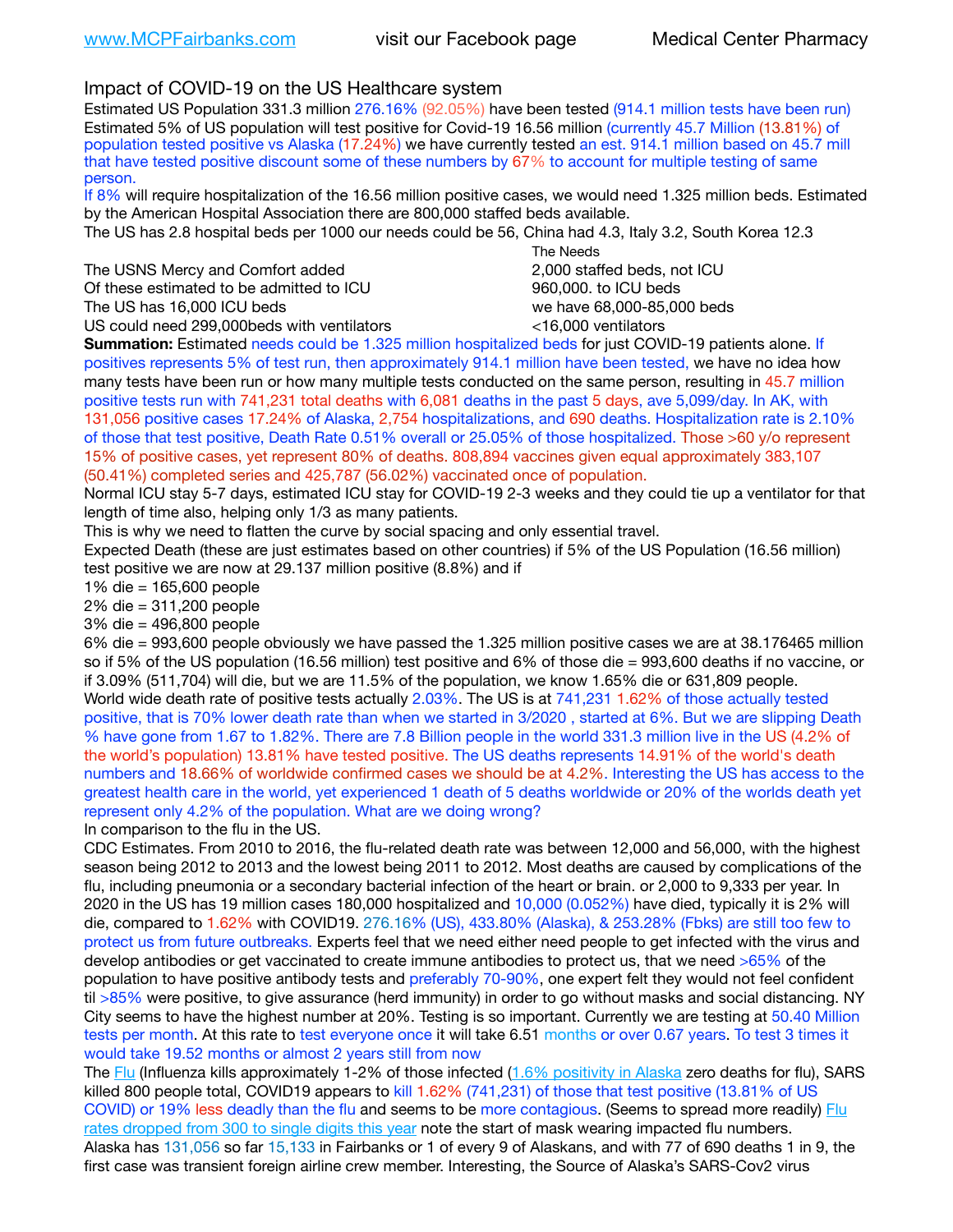# Impact of COVID-19 on the US Healthcare system

Estimated US Population 331.3 million 276.16% (92.05%) have been tested (914.1 million tests have been run) Estimated 5% of US population will test positive for Covid-19 16.56 million (currently 45.7 Million (13.81%) of population tested positive vs Alaska (17.24%) we have currently tested an est. 914.1 million based on 45.7 mill that have tested positive discount some of these numbers by 67% to account for multiple testing of same person.

If 8% will require hospitalization of the 16.56 million positive cases, we would need 1.325 million beds. Estimated by the American Hospital Association there are 800,000 staffed beds available.

The US has 2.8 hospital beds per 1000 our needs could be 56, China had 4.3, Italy 3.2, South Korea 12.3

The USNS Mercy and Comfort added 2,000 staffed beds, not ICU Of these estimated to be admitted to ICU **beds** and the set of the set of the 960,000, to ICU beds The US has 16,000 ICU beds we have 68,000-85,000 beds

 The Needs US could need 299,000 beds with ventilators  $\leq$ 16,000 ventilators

**Summation:** Estimated needs could be 1.325 million hospitalized beds for just COVID-19 patients alone. If positives represents 5% of test run, then approximately 914.1 million have been tested, we have no idea how many tests have been run or how many multiple tests conducted on the same person, resulting in 45.7 million positive tests run with 741,231 total deaths with 6,081 deaths in the past 5 days, ave 5,099/day. In AK, with 131,056 positive cases 17.24% of Alaska, 2,754 hospitalizations, and 690 deaths. Hospitalization rate is 2.10% of those that test positive, Death Rate 0.51% overall or 25.05% of those hospitalized. Those >60 y/o represent 15% of positive cases, yet represent 80% of deaths. 808,894 vaccines given equal approximately 383,107 (50.41%) completed series and 425,787 (56.02%) vaccinated once of population.

Normal ICU stay 5-7 days, estimated ICU stay for COVID-19 2-3 weeks and they could tie up a ventilator for that length of time also, helping only 1/3 as many patients.

This is why we need to flatten the curve by social spacing and only essential travel.

Expected Death (these are just estimates based on other countries) if 5% of the US Population (16.56 million) test positive we are now at 29.137 million positive (8.8%) and if

1% die = 165,600 people

2% die = 311,200 people

3% die = 496,800 people

6% die = 993,600 people obviously we have passed the 1.325 million positive cases we are at 38.176465 million so if 5% of the US population (16.56 million) test positive and 6% of those die = 993,600 deaths if no vaccine, or if 3.09% (511,704) will die, but we are 11.5% of the population, we know 1.65% die or 631,809 people. World wide death rate of positive tests actually 2.03%. The US is at 741,231 1.62% of those actually tested positive, that is 70% lower death rate than when we started in 3/2020 , started at 6%. But we are slipping Death % have gone from 1.67 to 1.82%. There are 7.8 Billion people in the world 331.3 million live in the US (4.2% of the world's population) 13.81% have tested positive. The US deaths represents 14.91% of the world's death numbers and 18.66% of worldwide confirmed cases we should be at 4.2%. Interesting the US has access to the greatest health care in the world, yet experienced 1 death of 5 deaths worldwide or 20% of the worlds death yet represent only 4.2% of the population. What are we doing wrong?

In comparison to the flu in the US.

CDC Estimates. From 2010 to 2016, the flu-related death rate was between 12,000 and 56,000, with the highest season being 2012 to 2013 and the lowest being 2011 to 2012. Most deaths are caused by complications of the flu, including pneumonia or a secondary bacterial infection of the heart or brain. or 2,000 to 9,333 per year. In 2020 in the US has 19 million cases 180,000 hospitalized and 10,000 (0.052%) have died, typically it is 2% will die, compared to 1.62% with COVID19. 276.16% (US), 433.80% (Alaska), & 253.28% (Fbks) are still too few to protect us from future outbreaks. Experts feel that we need either need people to get infected with the virus and develop antibodies or get vaccinated to create immune antibodies to protect us, that we need >65% of the population to have positive antibody tests and preferably 70-90%, one expert felt they would not feel confident til >85% were positive, to give assurance (herd immunity) in order to go without masks and social distancing. NY City seems to have the highest number at 20%. Testing is so important. Currently we are testing at 50.40 Million tests per month. At this rate to test everyone once it will take 6.51 months or over 0.67 years. To test 3 times it would take 19.52 months or almost 2 years still from now

The [Flu](https://lnks.gd/l/eyJhbGciOiJIUzI1NiJ9.eyJidWxsZXRpbl9saW5rX2lkIjoxMDMsInVyaSI6ImJwMjpjbGljayIsImJ1bGxldGluX2lkIjoiMjAyMTAyMjYuMzYwNDA3NTEiLCJ1cmwiOiJodHRwczovL3d3dy5jZGMuZ292L2ZsdS93ZWVrbHkvb3ZlcnZpZXcuaHRtIn0.ePMA_hsZ-pTnhWSyg1gHvHWYTu2XceVOt0JejxvP1WE/s/500544915/br/98428119752-l) (Influenza kills approximately 1-2% of those infected ([1.6% positivity in Alaska](http://dhss.alaska.gov/dph/Epi/id/SiteAssets/Pages/influenza/trends/Snapshot.pdf) zero deaths for flu), SARS killed 800 people total, COVID19 appears to kill 1.62% (741,231) of those that test positive (13.81% of US COVID) or 19% less deadly than the flu and seems to be more contagious. (Seems to spread more readily) Flu [rates dropped from 300 to single digits this year](https://lnks.gd/l/eyJhbGciOiJIUzI1NiJ9.eyJidWxsZXRpbl9saW5rX2lkIjoxMDEsInVyaSI6ImJwMjpjbGljayIsImJ1bGxldGluX2lkIjoiMjAyMTAyMjYuMzYwNDA3NTEiLCJ1cmwiOiJodHRwOi8vZGhzcy5hbGFza2EuZ292L2RwaC9FcGkvaWQvUGFnZXMvaW5mbHVlbnphL2ZsdWluZm8uYXNweCJ9.oOe3nt2fww6XpsNhb4FZfmtPfPa-irGaldpkURBJhSo/s/500544915/br/98428119752-l) note the start of mask wearing impacted flu numbers. Alaska has 131,056 so far 15,133 in Fairbanks or 1 of every 9 of Alaskans, and with 77 of 690 deaths 1 in 9, the first case was transient foreign airline crew member. Interesting, the Source of Alaska's SARS-Cov2 virus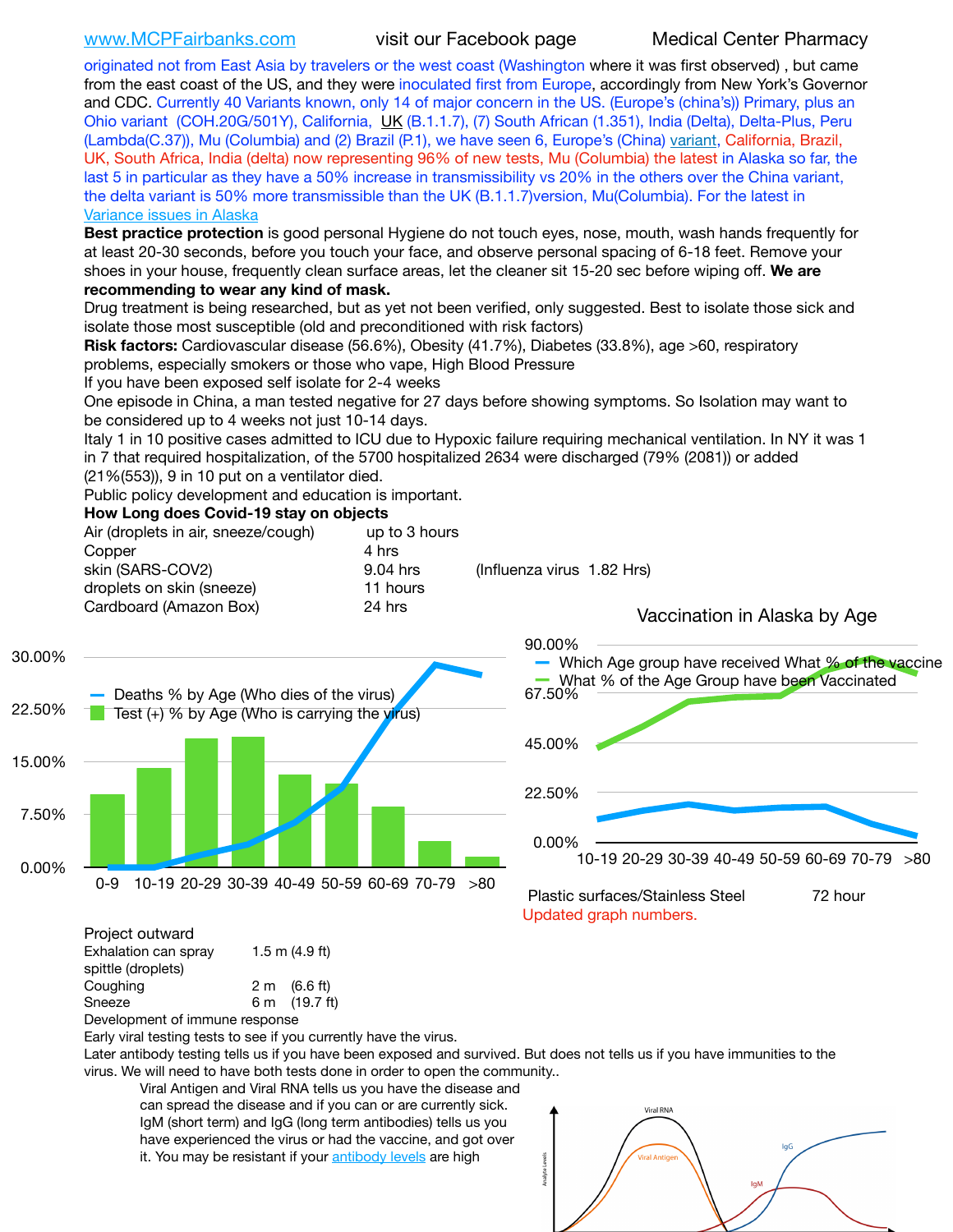[www.MCPFairbanks.com](http://www.MCPFairbanks.com) visit our Facebook page Medical Center Pharmacy

originated not from East Asia by travelers or the west coast (Washington where it was first observed) , but came from the east coast of the US, and they were inoculated first from Europe, accordingly from New York's Governor and CDC. Currently 40 Variants known, only 14 of major concern in the US. (Europe's (china's)) Primary, plus an Ohio variant (COH.20G/501Y), California, [UK](https://www.cdc.gov/coronavirus/2019-ncov/transmission/variant-cases.html) (B.1.1.7), (7) South African (1.351), India (Delta), Delta-Plus, Peru (Lambda(C.37)), Mu (Columbia) and (2) Brazil (P.1), we have seen 6, Europe's (China) [variant,](https://www.webmd.com/lung/news/20210318/cdc-who-create-threat-levels-for-covid-variants?ecd=wnl_cvd_031921&ctr=wnl-cvd-031921&mb=kYbf7DsHb7YGjh/1RUkcAW0T6iorImAU1TDZh18RYs0=_Support_titleLink_2) California, Brazil, UK, South Africa, India (delta) now representing 96% of new tests, Mu (Columbia) the latest in Alaska so far, the last 5 in particular as they have a 50% increase in transmissibility vs 20% in the others over the China variant, the delta variant is 50% more transmissible than the UK (B.1.1.7) version, Mu(Columbia). For the latest in [Variance issues in Alaska](https://lnks.gd/l/eyJhbGciOiJIUzI1NiJ9.eyJidWxsZXRpbl9saW5rX2lkIjoxMDgsInVyaSI6ImJwMjpjbGljayIsImJ1bGxldGluX2lkIjoiMjAyMTA4MDUuNDQxMzM4NzEiLCJ1cmwiOiJodHRwOi8vZGhzcy5hbGFza2EuZ292L2RwaC9FcGkvaWQvc2l0ZWFzc2V0cy9wYWdlcy9odW1hbmNvdi9BS1NlcUNvbl9HZW5vbWljU2l0dWF0aW9uUmVwb3J0LnBkZiJ9.wjCZc7vYm_CIgdjPTJyJ9ehoQjtub_KeZLTKgTIA69A/s/500544915/br/110405970878-l)

**Best practice protection** is good personal Hygiene do not touch eyes, nose, mouth, wash hands frequently for at least 20-30 seconds, before you touch your face, and observe personal spacing of 6-18 feet. Remove your shoes in your house, frequently clean surface areas, let the cleaner sit 15-20 sec before wiping off. **We are recommending to wear any kind of mask.**

Drug treatment is being researched, but as yet not been verified, only suggested. Best to isolate those sick and isolate those most susceptible (old and preconditioned with risk factors)

**Risk factors:** Cardiovascular disease (56.6%), Obesity (41.7%), Diabetes (33.8%), age >60, respiratory problems, especially smokers or those who vape, High Blood Pressure

If you have been exposed self isolate for 2-4 weeks

One episode in China, a man tested negative for 27 days before showing symptoms. So Isolation may want to be considered up to 4 weeks not just 10-14 days.

Italy 1 in 10 positive cases admitted to ICU due to Hypoxic failure requiring mechanical ventilation. In NY it was 1 in 7 that required hospitalization, of the 5700 hospitalized 2634 were discharged (79% (2081)) or added (21%(553)), 9 in 10 put on a ventilator died.

Public policy development and education is important.

### **How Long does Covid-19 stay on objects**

| Air (droplets in air, sneeze/cough) | up to 3 hours |                              |
|-------------------------------------|---------------|------------------------------|
| Copper                              | 4 hrs         |                              |
| skin (SARS-COV2)                    | $9.04$ hrs    | (Influenza virus 1.82 Hrs)   |
| droplets on skin (sneeze)           | 11 hours      |                              |
| Cardboard (Amazon Box)              | 24 hrs        | Vaccination in Alaska by Age |
|                                     |               | an nnez                      |





Project outward Exhalation can spray 1.5 m (4.9 ft) spittle (droplets)

Coughing  $2 \text{ m}$  (6.6 ft) Sneeze 6 m (19.7 ft) Development of immune response

Early viral testing tests to see if you currently have the virus.

Later antibody testing tells us if you have been exposed and survived. But does not tells us if you have immunities to the virus. We will need to have both tests done in order to open the community..

Viral Antigen and Viral RNA tells us you have the disease and can spread the disease and if you can or are currently sick. IgM (short term) and IgG (long term antibodies) tells us you have experienced the virus or had the vaccine, and got over it. You may be resistant if your [antibody levels](https://www.cdc.gov/coronavirus/2019-ncov/lab/resources/antibody-tests.html) are high

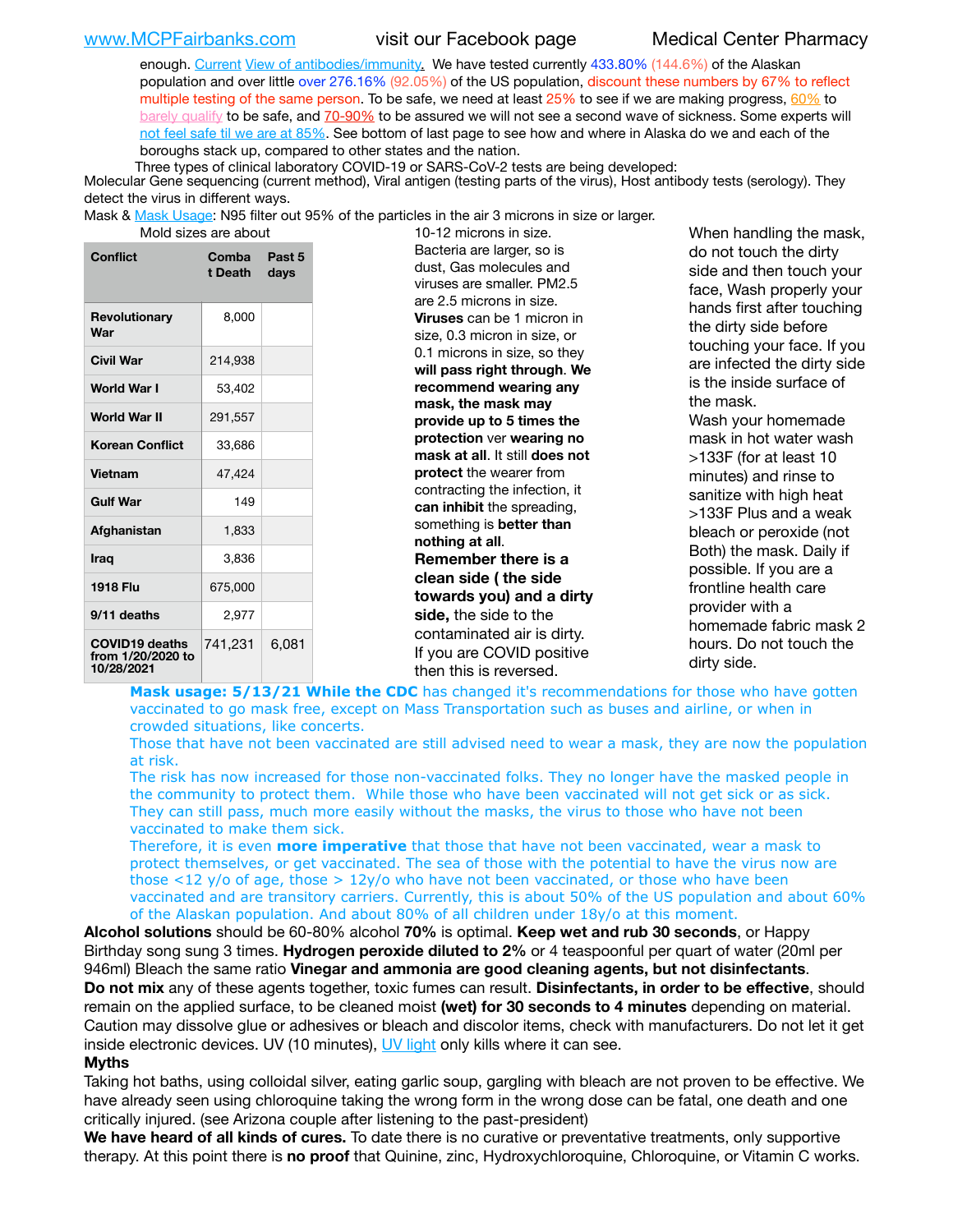enough. [Current](https://l.facebook.com/l.php?u=https://www.itv.com/news/2020-10-26/covid-19-antibody-levels-reduce-over-time-study-finds?fbclid=IwAR3Dapzh1qIH1EIOdUQI2y8THf7jfA4KBCaJz8Qg-8xe1YsrR4nsAHDIXSY&h=AT30nut8pkqp0heVuz5W2rT2WFFm-2Ab52BsJxZZCNlGsX58IpPkuVEPULbIUV_M16MAukx1Kwb657DPXxsgDN1rpOQ4gqBtQsmVYiWpnHPJo2RQsU6CPMd14lgLnQnFWxfVi6zvmw&__tn__=-UK-R&c%5B0%5D=AT1GaRAfR_nGAyqcn7TI1-PpvqOqEKXHnz6TDWvRStMnOSH7boQDvTiwTOc6VId9UES6LKiOmm2m88wKCoolkJyOFvakt2Z1Mw8toYWGGoWW23r0MNVBl7cYJXB_UOvGklNHaNnaNr1_S7NhT3BSykNOBg) [View of antibodies/immunity](https://www.livescience.com/antibodies.html)[.](https://www.itv.com/news/2020-10-26/covid-19-antibody-levels-reduce-over-time-study-finds) We have tested currently 433.80% (144.6%) of the Alaskan population and over little over 276.16% (92.05%) of the US population, discount these numbers by 67% to reflect multiple testing of the same person. To be safe, we need at least  $25\%$  to see if we are making progress,  $60\%$  to [barely qualify](https://www.nature.com/articles/d41586-020-02948-4) to be safe, and [70-90%](https://www.mayoclinic.org/herd-immunity-and-coronavirus/art-20486808) to be assured we will not see a second wave of sickness. Some experts will [not feel safe til we are at 85%](https://www.bannerhealth.com/healthcareblog/teach-me/what-is-herd-immunity). See bottom of last page to see how and where in Alaska do we and each of the boroughs stack up, compared to other states and the nation.

Three types of clinical laboratory COVID-19 or SARS-CoV-2 tests are being developed:

Molecular Gene sequencing (current method), Viral antigen (testing parts of the virus), Host antibody tests (serology). They detect the virus in different ways.

Mask & [Mask Usage:](https://www.nationalgeographic.com/history/2020/03/how-cities-flattened-curve-1918-spanish-flu-pandemic-coronavirus/) N95 filter out 95% of the particles in the air 3 microns in size or larger.

| MOIO SIZES Are ADOUT                                     |                  |                |  |  |
|----------------------------------------------------------|------------------|----------------|--|--|
| Conflict                                                 | Comba<br>t Death | Past 5<br>days |  |  |
| Revolutionary<br>War                                     | 8,000            |                |  |  |
| <b>Civil War</b>                                         | 214,938          |                |  |  |
| World War I                                              | 53,402           |                |  |  |
| World War II                                             | 291,557          |                |  |  |
| <b>Korean Conflict</b>                                   | 33,686           |                |  |  |
| <b>Vietnam</b>                                           | 47,424           |                |  |  |
| <b>Gulf War</b>                                          | 149              |                |  |  |
| Afghanistan                                              | 1,833            |                |  |  |
| <b>Iraq</b>                                              | 3,836            |                |  |  |
| 1918 Flu                                                 | 675,000          |                |  |  |
| 9/11 deaths                                              | 2,977            |                |  |  |
| <b>COVID19 deaths</b><br>from 1/20/2020 to<br>10/28/2021 | 741,231          | 6,081          |  |  |

10-12 microns in size. Bacteria are larger, so is dust, Gas molecules and viruses are smaller. PM2.5 are 2.5 microns in size. **Viruses** can be 1 micron in size, 0.3 micron in size, or 0.1 microns in size, so they **will pass right through**. **We recommend wearing any mask, the mask may provide up to 5 times the protection** ver **wearing no mask at all**. It still **does not protect** the wearer from contracting the infection, it **can inhibit** the spreading, something is **better than nothing at all**. **Remember there is a clean side ( the side towards you) and a dirty side,** the side to the contaminated air is dirty. If you are COVID positive then this is reversed.

When handling the mask, do not touch the dirty side and then touch your face, Wash properly your hands first after touching the dirty side before touching your face. If you are infected the dirty side is the inside surface of the mask. Wash your homemade mask in hot water wash >133F (for at least 10 minutes) and rinse to sanitize with high heat >133F Plus and a weak bleach or peroxide (not Both) the mask. Daily if possible. If you are a frontline health care provider with a homemade fabric mask 2 hours. Do not touch the dirty side.

Mask usage: 5/13/21 While the CDC has changed it's recommendations for those who have gotten vaccinated to go mask free, except on Mass Transportation such as buses and airline, or when in crowded situations, like concerts.

Those that have not been vaccinated are still advised need to wear a mask, they are now the population at risk.

The risk has now increased for those non-vaccinated folks. They no longer have the masked people in the community to protect them. While those who have been vaccinated will not get sick or as sick. They can still pass, much more easily without the masks, the virus to those who have not been vaccinated to make them sick.

Therefore, it is even **more imperative** that those that have not been vaccinated, wear a mask to protect themselves, or get vaccinated. The sea of those with the potential to have the virus now are those <12 y/o of age, those >  $12y$ /o who have not been vaccinated, or those who have been vaccinated and are transitory carriers. Currently, this is about 50% of the US population and about 60% of the Alaskan population. And about 80% of all children under 18y/o at this moment.

**Alcohol solutions** should be 60-80% alcohol **70%** is optimal. **Keep wet and rub 30 seconds**, or Happy Birthday song sung 3 times. **Hydrogen peroxide diluted to 2%** or 4 teaspoonful per quart of water (20ml per 946ml) Bleach the same ratio **Vinegar and ammonia are good cleaning agents, but not disinfectants**. **Do not mix** any of these agents together, toxic fumes can result. **Disinfectants, in order to be effective**, should remain on the applied surface, to be cleaned moist **(wet) for 30 seconds to 4 minutes** depending on material. Caution may dissolve glue or adhesives or bleach and discolor items, check with manufacturers. Do not let it get inside electronic devices. UV (10 minutes), [UV light](http://www.docreviews.me/best-uv-boxes-2020/?fbclid=IwAR3bvFtXB48OoBBSvYvTEnKuHNPbipxM6jUo82QUSw9wckxjC7wwRZWabGw) only kills where it can see.

### **Myths**

Taking hot baths, using colloidal silver, eating garlic soup, gargling with bleach are not proven to be effective. We have already seen using chloroquine taking the wrong form in the wrong dose can be fatal, one death and one critically injured. (see Arizona couple after listening to the past-president)

**We have heard of all kinds of cures.** To date there is no curative or preventative treatments, only supportive therapy. At this point there is **no proof** that Quinine, zinc, Hydroxychloroquine, Chloroquine, or Vitamin C works.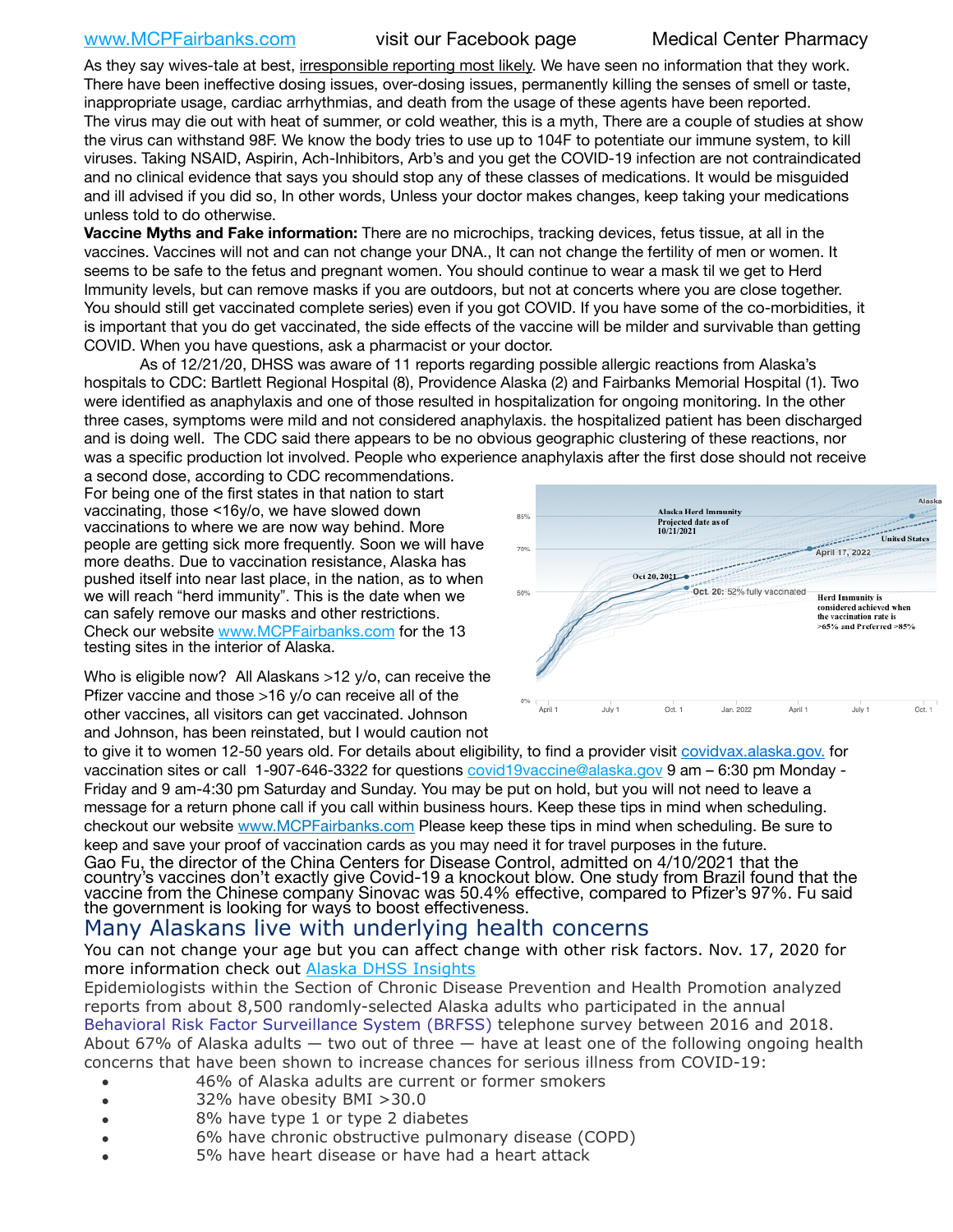# [www.MCPFairbanks.com](http://www.MCPFairbanks.com) visit our Facebook page Medical Center Pharmacy

As they say wives-tale at best, irresponsible reporting most likely. We have seen no information that they work. There have been ineffective dosing issues, over-dosing issues, permanently killing the senses of smell or taste, inappropriate usage, cardiac arrhythmias, and death from the usage of these agents have been reported. The virus may die out with heat of summer, or cold weather, this is a myth, There are a couple of studies at show the virus can withstand 98F. We know the body tries to use up to 104F to potentiate our immune system, to kill viruses. Taking NSAID, Aspirin, Ach-Inhibitors, Arb's and you get the COVID-19 infection are not contraindicated and no clinical evidence that says you should stop any of these classes of medications. It would be misguided and ill advised if you did so, In other words, Unless your doctor makes changes, keep taking your medications unless told to do otherwise.

**Vaccine Myths and Fake information:** There are no microchips, tracking devices, fetus tissue, at all in the vaccines. Vaccines will not and can not change your DNA., It can not change the fertility of men or women. It seems to be safe to the fetus and pregnant women. You should continue to wear a mask til we get to Herd Immunity levels, but can remove masks if you are outdoors, but not at concerts where you are close together. You should still get vaccinated complete series) even if you got COVID. If you have some of the co-morbidities, it is important that you do get vaccinated, the side effects of the vaccine will be milder and survivable than getting COVID. When you have questions, ask a pharmacist or your doctor.

As of 12/21/20, DHSS was aware of 11 reports regarding possible allergic reactions from Alaska's hospitals to CDC: Bartlett Regional Hospital (8), Providence Alaska (2) and Fairbanks Memorial Hospital (1). Two were identified as anaphylaxis and one of those resulted in hospitalization for ongoing monitoring. In the other three cases, symptoms were mild and not considered anaphylaxis. the hospitalized patient has been discharged and is doing well. The CDC said there appears to be no obvious geographic clustering of these reactions, nor was a specific production lot involved. People who experience anaphylaxis after the first dose should not receive

a second dose, according to CDC recommendations. For being one of the first states in that nation to start vaccinating, those <16y/o, we have slowed down vaccinations to where we are now way behind. More people are getting sick more frequently. Soon we will have more deaths. Due to vaccination resistance, Alaska has pushed itself into near last place, in the nation, as to when we will reach "herd immunity". This is the date when we can safely remove our masks and other restrictions. Check our website [www.MCPFairbanks.com](http://www.MCPFairbanks.com) for the 13 testing sites in the interior of Alaska.



Who is eligible now? All Alaskans >12 y/o, can receive the Pfizer vaccine and those >16 y/o can receive all of the other vaccines, all visitors can get vaccinated. Johnson and Johnson, has been reinstated, but I would caution not

to give it to women 12-50 years old. For details about eligibility, to find a provider visit [covidvax.alaska.gov.](https://lnks.gd/l/eyJhbGciOiJIUzI1NiJ9.eyJidWxsZXRpbl9saW5rX2lkIjoxMDYsInVyaSI6ImJwMjpjbGljayIsImJ1bGxldGluX2lkIjoiMjAyMTAxMjguMzQwODU3NjEiLCJ1cmwiOiJodHRwOi8vZGhzcy5hbGFza2EuZ292L2RwaC9FcGkvaWQvUGFnZXMvQ09WSUQtMTkvdmFjY2luZS5hc3B4In0.-Xwhl42jAWOMS7ewfS85uxwrwjohCso3Sb81DuDKtxU/s/500544915/br/93796640171-l) for vaccination sites or call 1-907-646-3322 for questions [covid19vaccine@alaska.gov](mailto:covid19vaccine@alaska.gov?subject=COVID19%20Vaccine%20questions) 9 am - 6:30 pm Monday -Friday and 9 am-4:30 pm Saturday and Sunday. You may be put on hold, but you will not need to leave a message for a return phone call if you call within business hours. Keep these tips in mind when scheduling. checkout our website [www.MCPFairbanks.com](http://www.MCPFairbanks.com) Please keep these tips in mind when scheduling. Be sure to keep and save your proof of vaccination cards as you may need it for travel purposes in the future. Gao Fu, the director of the China Centers for Disease Control, admitted on 4/10/2021 that the country's vaccines don't exactly give Covid-19 a knockout blow. One study from Brazil found that the vaccine from the Chinese company Sinovac was 50.4% effective, compared to Pfizer's 97%. Fu said the government is looking for ways to boost effectiveness.

# Many Alaskans live with underlying health concerns

You can not change your age but you can affect change with other risk factors. Nov. 17, 2020 for more information check out [Alaska DHSS Insights](http://dhss.alaska.gov/dph/Epi/id/Pages/COVID-19/blog/20201117.aspx)

Epidemiologists within the Section of Chronic Disease Prevention and Health Promotion analyzed reports from about 8,500 randomly-selected Alaska adults who participated in the annual [Behavioral Risk Factor Surveillance System \(BRFSS\)](http://dhss.alaska.gov/dph/Chronic/Pages/brfss/default.aspx) telephone survey between 2016 and 2018. About 67% of Alaska adults — two out of three — have at least one of the following ongoing health concerns that have been shown to increase chances for serious illness from COVID-19:

- 46% of Alaska adults are current or former smokers
- 32% have obesity BMI >30.0
- 8% have type 1 or type 2 diabetes
- 6% have chronic obstructive pulmonary disease (COPD)
- 5% have heart disease or have had a heart attack